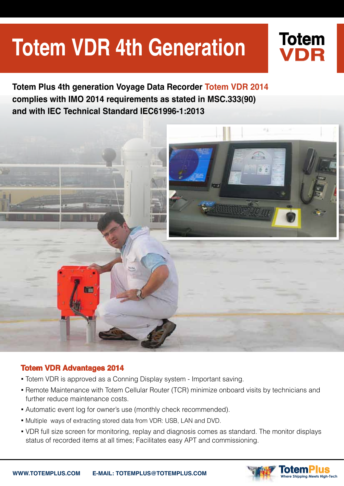# **Totem VDR 4th Generation**

**2014 Totem Plus 4th generation Voyage Data Recorder Totem VDR 2014** complies with IMO 2014 requirements as stated in MSC.333(90) and with IEC Technical Standard IEC61996-1:2013



#### **7014 Totem VDR Advantages 2014**

- Totem VDR is approved as a Conning Display system Important saving.
- Remote Maintenance with Totem Cellular Router (TCR) minimize onboard visits by technicians and further reduce maintenance costs.
- Automatic event log for owner's use (monthly check recommended).
- . Multiple ways of extracting stored data from VDR: USB, LAN and DVD.
- VDR full size screen for monitoring, replay and diagnosis comes as standard. The monitor displays status of recorded items at all times; Facilitates easy APT and commissioning.



**Totem**

**VDR**